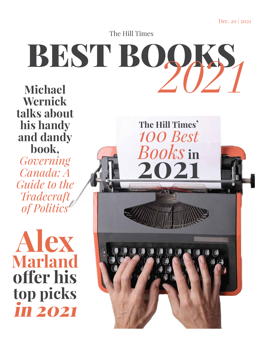Dec. 20 | 2021

The Hill Times

# BEST BOOKS, *2021*

**Michael Wernick talks about his handy and dandy book,** *Governing Canada: A Guide to the Tradecraft of Politics*

**Alex Marland offer his top picks** in 2021

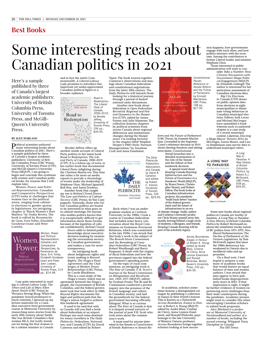# Some interesting reads about Canadian politics in 2021

Here's a sample published by three of Canada's largest academic publishers: University of British Columbia Press, University of Toronto Press, and McGill-Queen's University Press.

#### **BY ALEX MARLAND**

Political scientists authored many interesting books about Canadian politics in 2021. Here's a sample published by three of Canada's largest academic publishers: University of British Columbia Press (UBC Press), University of Toronto Press (UTP), and McGill-Queen's University Press (MQUP). I am going to begin and conclude this synthesis with women and Canadian political books, for reasons that I will explain later.

*Women, Power, and Political Representation: Canadian and Comparative Perspectives* (UTP) looks at challenges that women face in the political arena, ranging from cabinet to elections to gender quotas in legislatures. An intriguing chapter is "Black Women's Hair Matters," by Nadia Brown. The book is edited by Roosmarijn de Geus, Erin Tolley, Elizabeth Goodyear-Grant and Peter Loewen.



*Women, Power and Political Representation: Canadian and Comparative Perspectives,* by Roosmarijn de Geus, Erin Tolley, Elizabeth Goodyear-Grant and Peter John Loewen, University of Toronto Press, 214

I am quite interested in reading *A Liberal-Labour Lady: The Times and Life of Mary Ellen Spear Smith* (UBC Press) by Veronica Strong-Boag. When the pandemic forced professors to teach remotely, I spruced up my lecture materials for a Canadian executive-level government course at Memorial University by researching news stories from the early 20th century about Smith. She was British Columbia's first woman MLA, but really stands out for being the first woman to be a cabinet minister in Canada

and in fact the entire Commonwealth. *A Liberal-Labour Lady* promises to introduce this important yet under-appreciated Canadian political figure to a broader audience.



Brooke Jeffrey offers up another inside account of Liberal Party politics in her latest book *Road to Redemption: The Liberal Party of Canada, 2006–2019* (UTP). It is a follow-up, of sorts, to her earlier book that documented Liberal Party infighting during the Chrétien-Martin era. This time she relies a bit more on media reports to provide a chronology of events under the leadership of Stéphane Dion, Michael Ignatieff, Bob Rae, and Justin Trudeau.

Another book that caught my eye is *Behind Closed Doors: The Law and Politics of Cabinet Secrecy* (UBC Press), byYan Campagnolo. Naturally, those who follow Canadian politics are bound to be interested in what goes on in cabinet meetings. Yet anyone who studies politics knows that it is exceptionally difficult to get information about those forums because of the legalities of cabinet confidentiality. *Behind Closed* 

*Doors* adds to limited public knowledge about executive decision-making by examining the overzealous secrecy in Canadian government, and makes a case for more transparency.

An intriguing book about Indigenous rights and treaty making is *Beyond Rights: The Nisga'a Final Agreement and the Challenges of Modern Treaty Relationships* (UBC Press), by Carole Blackburn. This is a case study of the

Nisga'a treaty, which was an agreement between the Nisga'a people, the Government of British Columbia, and the federal ment took that took effect in 2000. *Beyond Rights* documents the legal and political path that the Nisga'a nation forged to achieve this landmark agreement.

It used to be said that only in Canada will you find a book about federalism at an airport. Perhaps one such tome destined for weary travellers is *The Daily Plebiscite: Federalism, Nationalism, and Canada* (UTP), by David Cameron and edited by Robert

Vipon. The book weaves together Cameron's observations and musings about Canadian federalism and constitutional negotiations from the latter 20th century. *The Daily Plebiscite* will interest those

looking for a historical journey through a period of heated national unity discussions. Another new book about federalism is *Open Federalism Revisited: Regional and Federal Dynamics in the Harper Era* (UTP), edited by James Farney and Julie Simmons. The collection features chapters by political scientists from across Canada about regional differences and institutional changes during the Harper years. I'm looking forward to the chapter titled "Stephen Harper's PMO Style: Partisan Managerialism," by Jonathan

Craft and Anna Esselment.



Back when I was an undergraduate student at Carleton University in the 1990s, I took a course in Canadian federalism that included some heavy conversation about the Royal Commission on Dominion–Provincial Relations, which was constituted in the late 1930s. I am struck that this body's work is the subject of *The Rowell-Sirois Commission and the Remaking of Canadian Federalism* (UBC Press), by Robert Wardhaugh and Barry Ferguson. It deals with the origins of fiscal federalism and how the provinces tapped into the federal government's spending power.

On the topic of royal commissions, an intriguing work is *The Fate of Canada: F. R. Scott's Journal of the Royal Commission on Bilingualism and Biculturalism, 1963–1971* (MQUP), edited by Graham Fraser. The Bi and Bi Commission conducted a pivotal inquiry into the presence of the French language and culture in Canadian society, and laid the groundwork for the federal government becoming officially bilingual. What is so curious about *The Fate of Canada* is that it is shaped around extracts of the journal of poet F.R. Scott who took notes about the commission's work.

A must-read for anyone interested in the Senate is *Constitutional Pariah: Reference re Senate Re-*



*form and the Future of Parliament*  (UBC Press), by Emmett Macfarlane. Grounded in the Supreme Court's reference decision in 2014 about electing Senators and setting term limits, *Constitutional* 

*Pariah* branches into a detailed examination of the role of the Senate and the fallout of that landmark decision.

A special word about *Keeping Canada Running: Infrastructure and the Future of Governance in a Pandemic World* (MQUP), by Bruce Doern, Christopher Stoney, and Robert Hilton. The book looks at Canadian infrastructure projects, the pandemic "build back better" mantra of the federal government and the future of infrastructure in an era of climate change. Sadly, author and Carleton University profes-

sor Chris Stoney passed away this month, leaving behind a large circle of students, colleagues, and friends. *Keeping Canada Running* will be part of his scholarly legacy.



In academia, scholars sometimes honour a distinguished colleague by publishing a collection of essays in their friend's honour. This is known as a Festschrift. *Across Boundaries: Essays in Honour of Robert A. Young* (MQUP) edited by André Blais, Cristine de Clercy, Anna Lennox Esselment, and Ronald Wintrobe, pays homage to the late University of Western Ontario professor. *Across Boundaries* brings together scholars looking at how succes-

sion happens, how governments engage with each other, and how politics intersect with the economy. Among the contributors is former Liberal leader and minister Stéphane Dion. Those interested in public

administration will want to consider *Take a Number: How Citizens' Encounters with Government Shape Political Engagement* (MQUP) by Elisabeth Gidengil. The author is renowned for her meticulous assessment of Canadian elections data.

*Big City Elections in Canada* (UTP) draws on public opinion data from elections in eight municipalities to illuminate voting behaviour in Canadian municipal elections. Editors Jack Lucas and Michael McGregor have assembled a book wherein each co-authored chapter is a case study of a recent municipal

contest. Likewise, *Electing a Mega-Mayor: Toronto 2014,* by McGregor, Aaron Moore, and Laura Stephenson uses survey data to understand municipal voters.

> *A Long Way to Paradise: A New History of British Columbia Politics,* by Robert A.J. McDonald, UBC Press, 428 pp., \$39.95.



A LONG WAY

**TO PARADISE** 

Some new books about regional politics in Canada are worthy of mention. *A Long Way to Paradise: A New History of British Columbia Politics* by Robert McDonald explores the sometimes wacky nature

of BC politics from 1871-1972. *Neoliberal Parliamentarism: The Decline of Parliament at the Ontario Legislature,* byTom McDowell argues that since the 1980s democracy has weakened in Ontario due to neoliberal rules and approaches.

On a final note, I had hoped to prepare a summary of academic books that would feature an equal balance of men and women authors. I was struck that men appear to have published books disproportionately more in 2021. If that impression is right, it might

be further evidence of women periencing more challenges than their male counterparts during the pandemic. Academic presses might want to consider this when encouraging Canadian scholars to submit book proposals.

*Alex Marland is a professor at Memorial University of Newfoundland and author of a number of books, including the award-winning,* Whipped: Party Discipline in Canada*. The Hill Times*



*The Daily Plebiscite: Federalism, Nationalism, and Canada,* by David R. Cameron and edited

pp., \$29.95.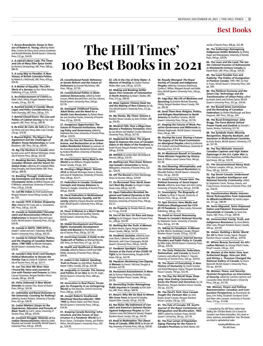**1. Across Boundaries: Essays in Honour of Robert A. Young,** edited by André Blais, Cristine de Clercy, Anna Lennox Esselment and Ronald Wintrobe, McGill-Queen's University Press, 232 pp., \$34.95.

**2. A Liberal-Labour Lady: The Times and Life of Mary Ellen Spear Smith**, by Veronica Strong-Boag, UBC Press, 288 pp., \$89.95.

**3. A Long Way to Paradise: A New History of British Columbia Politics**, by Robert A.J. McDonald, UBC Press, 428 pp., \$39.95.

**4. A Matter of Equality: The Life's Work of a Senator**, by Don Oliver, Nimbus Publishing, 215 pp., \$29.95.

**5. An Embarrassment of Critch's**, by Mark Critch, Viking, Penguin Random House Canada, 224 pp., \$32.95.

**6. Assisted Suicide in Canada: Moral, Legal, and Policy Considerations,** by Travis Dumsday, UBC Press, 208 pp., \$75.

**7. Behind Closed Doors: The Law and Politics of Cabinet Secrecy,** by Yan Campagnolo, UBC Press, 352 pp., \$89.95.

**8. Be Kind, Be Calm, Be Safe**, by Dr. Bonnie Henry and Lynn Henry, Allen Lane Canada, 216 pp., \$19.95.

**9. Beyond Rights: The Nisga'a Final Agreement and the Challenges of Modern Treaty Relationships,** by Carole Blackburn, UBC Press, 202 pp., \$89.95.

**10. Big City Elections in Canada**, edited by Jack Lucas and R. Michael McGregor, University of Toronto Press, 280 pp., \$32.95.

**11. Breaking Barriers, Shaping Worlds: Canadian Women and the Search for Global Order**, edited by Jill Campbell-Miller, Greg Donaghy, and Stacey Barker, UBC Press, 240 pp., \$89.95.

**12. Breaking Through: Understanding Sovereignty and Security in the Circumpolar Arctic**, by Wilfrid Greaves and P. Whitney Lackenbauer, University of Toronto Press, 278 pp., \$16.48.

**13. Call Me Indian**, by Fred Sasakamoose, Penguin Random House Viking Canada, 288 pp., \$32.

**14. Canada 1919: A Nation Shaped by War**, edited by Tim Cook and J.L. Granatstein, UBC Press, 338 pp., \$32.95.

**15. Canada as Statebuilder? Development and Reconstruction Efforts in Afghanistan**, by Benjamin Zyla and Laura Grant, McGill-Queen's University Press, 352 pp., \$39.95.

**16. Canada in NATO, 1949-2019**, by Joseph T. Jockel and Joel J. Sokolasky, McGill-Queen's University Press, 328 pp., \$42.95.

**17. Canada to Ireland: Poetry, Politics, and the Shaping of Canadian Nationalism, 1788-1900**, by Michele Holmgren, McGill-Queen's University Press, 258 pp., \$39.95.

**18. Canada's Holy Grail: Lord Stanley's Political Motivation to Donate the Stanley Cup**, by Jordan B. Goldstein, University of Toronto Press, 342 pp., \$24.71.

**19. Can You Hear Me Now: How I Found My Voice and Learned to Live with Passion and Purpose**, by Celina Caesar-Chavannes, Penguin Random House Canada, 280 pp., \$29.95.

**20. China Unbound: A New World Disorder**, by Joanna Chiu, House of Anansi Press, 304 pp., \$24.99.

**21. Coloniality and Racial (In)Justice in the University: Counting for Nothing?** edited by Sunera Thobani, University of Toronto Press, 422 pp., \$26.95.

**22. Colour Matters: Essays on the Experiences, Education and Pursuits of Black Youth**, by Carl E. James, University of Toronto Press, 390 pp., \$39.95.

**23. Constant Struggle: Histories of Canadian Democratization**, edited by Julien Mauduit and Jennifer Tunnicliffe, McGill-Queen's University Press, 504 pp., \$39.95.

# **The Hill Times' 100 Best Books in 2021**

**24. Constitutional Pariah: Reference re Senate Reform and the Future of Parliament**, by Emmett Macfarlane, UBC Press, 198 pp., \$27.95.

**25. Constitutional Politics in Multinational Democracies**, edited by André Lecours, Nikola Brassard-Dion, and Guy Laforest, McGill-Queen's University Press, 240 pp., \$37.95.

**26. Damaged: Childhood Trauma, Adult Illness and the Need for a Health Care Revolution**, by Robert Maunder and Jonathan Hunter, University of Toronto Press, 232 pp., \$29.95.

**27. Dangerous Opportunities: The Future of Financial Institutions, Housing Policy and Governance**, edited by Stephanie Ben-Ishai, University of Toronto Press, 208 pp., \$34.95.

**28. Did You See Us? Reunion, Remembrance, and Reclamation at an Urban Indian Residential School,** by survivors of the Assiniboia Indian Residential School, edited by Andrew Woolford, University of Manitoba Press, \$24.95.

**29. Disorientation: Being Black in the World**, by Ian Williams, Penguin Random House Canada, 216 pp., \$25.

**30. Electing a Mega-Mayor: Toronto 2014,** by Michael McGregor, Aaron A. Moore, and Laura B. Stephenson, University of Toronto Press, 208 pp., \$24.71.

**31. Federalism in Canada: Contested Concepts and Uneasy Balances**, by Thomas O. Hueglin, University of Toronto Press, 384 pp., \$54.95.

**32. Fiscal Federalism in Multinational States: Autonomy, Equality, and Diversity**, edited by François Boucher and Alain Noël, McGill-Queen's University Press, 304 pp., \$37.95.

**33. Flora! A Woman in a Man's World**, by Flora MacDonald and Geoffrey Stevens, McGill-Queen's University Press, 328 pp., \$34.95.

**34. Global Development and Human Rights: Sustainable Development Goals and Beyond**, by Paul Nelson, University of Toronto Press, 256 pp., \$27.95.

**35. Governing Canada: A Guide to the Tradecraft of Politics**, by Michael Wernick, UBC Press, On Point Press, 211 pp., \$21.95.

**36. Health and Healthcare in Northern Canada**, edited by Rebecca Schiff and Helle Moller, University of Toronto Press, 450 pp., \$49.95.

**37. Indian in the Cabinet: Speaking Truth to Power**, by Jody Wilson-Raybould, Harper Collins Canada, 352 pp., \$34.99.

**38. Inequality in Canada: The History and Politics of an Idea**, by Eric W. Sager, McGill-Queen's University Press, 488 pp., \$37.95.

**39. Innovation in Real Places: Strategies for Prosperity in an Unforgiving World**, by Dan Breznitz, Oxford University Press, 288 pp., \$29.95.

**40. Joseph Roberts Smallwood: Masthead Newfoundlander 1900- 1949**, by Melvin Baker and Peter Neary, McGill-Queen's University Press, 248 pp., \$34.95.

**41. Keeping Canada Running: Infrastructure and the Future of Governance in a Pandemic World**, by G. Bruce Doern, Christopher Stoney, and Robert Hilton, McGill-Queen's University Press, 442 pp., \$39.95.

**42. Life in the City of Dirty Water: A Memoir of Healing**, by Clayton Thomas-Müller, Allen Lane, 240 pp., \$22.95.

**43. Making and Breaking Settler Space: Five Centuries of Colonization in North America**, by Adam J. Barker, UBC Press, 312 pp., \$89.95.

**44. Mass Capture: Chinese Head Tax and the Making of Non-Citizens**, by Lily Cho, McGill-Queen's University Press, 272 pp., \$39.95.

**45. My Stories, My Times: Volume 2**, Random House Canada, by Jean Chrétien, 288 pp., \$34.95.

**46. Muskrat Falls: How a Mega Dam Became a Predatory Formation**, edited by Lisa Moore and Stephen Crocker, Memorial University Press, 300 pp., \$27.95.

**47. Neglected No More: The Urgent Need to Improve the Lives of Canada's Elders in the Wake of the Pandemic**, by André Picard, Penguin Random House Canada, 208 pp., \$19.95.

**48. NISHGA**, by Jordan Abel, McClelland & Stewart, 288 pp., \$32.95.

**49. Nothing Less Than Great: Reforming Canada's Universities**, by Harvey Weingarten, University of Toronto Press, 232 pp.., \$26.95.

**50. Off The Record,** by Peter Mansbridge, Simon & Schuster, 368 pp., \$29.99.

**51. On Borrowed Time: North America's Next Big Quake**, by Gregor Craigie, Goose Lane, 248 pp., \$22.95.

**52. Open Federalism Revisited: Regional and Federal Dynamics in the Harper Era**, by James Farney and Julie M. Simmons, University of Toronto Press, 358 pp., \$32.21.

**53. On Property**, by Rinaldo Walcott, Biblioasis, 112 pp., \$14.95.

**54. Out of the Sun: On Race and Storytelling**, by Esi Edugyan, House of Anansi Press Inc., 248 pp., \$32.99.

**55. Nothing But the Truth: A Memoir**, by Marie Henein, Signal, Penguin Random House Canada, 288 pp., \$32.95.

**56. Pandemic Societies**, edited by Jean-Louis Denis, Catherine Régis and Daniel M. Weinstock, with Clara Champagne, McGill-Queen's University Press, 356 pp., \$34.95.

**57. Pandemic Spotlight: Canadian Doctors at the Front of the COVID-19 Fight,** by Ian Hanomansing, Douglas & Mc-Intyre, 256 pp., \$22.95.

**58. Peyakow: Reclaiming Cree Dignity, A Memoir**, by Darrel J. McLeod, Douglas & McIntyre, \$22.95.

**59. Permanent Astonishment: A Memoir**, by Tomson Highway, Doubleday Canada, Penguin Random House Canada, 344 pp., \$32.95.

**60. Reconciling Truths: Reimagining Public Inquiries in Canada**, by Kim Stanton, UBC Press, 268 pp., \$89.95.

**61. Return: Why We Go Back to Where We Come From,** by Kamal Al-Solaylee, HarperCollins Canada, 320 pp., \$32.99.

**62. Rez Rules: My Indictment of Canada's and America's Systemic Racism Against Indigenous Peoples**, by Chief Clarence Louie, McClelland & Stewart, Penguin Random House Canada, 352 pp., \$34.95.

**63. Road to Redemption: The Liberal Party of Canada, 2006-2019**, by Brooke Jeffrey, University of Toronto Press, 336 pp., \$39.95.

**64. Royally Wronged: The Royal Society of Canada and Indigenous Peoples**, edited by Constance Backhouse, Cynthia E. Milton, Margaret Kovach and Adele Perry, McGill-Queen's University Press, 336 pp., \$39.95.

**65. Saga Boy: My Life of Blackness and Becoming**, by Antonio Michael Downing, Viking, Penguin Random House Canada, 344 pp., \$26.95.

**66. Send Them Here: Religion, Politics, and Refugee Resettlement in North America**, by Geoffrey Cameron, McGill-Queen's University Press, 256 pp., \$37.95.

**67. Shaping the Futures of Work: Proactive Governance and Millennials**, by Nilanjan Raghunath, McGill-Queen's University Press, 256 pp., \$95.

**68. Sharing the Land, Sharing a Future: The Legacy of the Royal Commission on Aboriginal Peoples**, edited by Katherine A.H. Graham and David Newhouse, University of Manitoba Press, \$31.95.

**69. Sir Mackenzie Bowell: A Canadian Prime Minister Forgotten by History**, Barry K. Wilson, Loose Cannon Press, 364 pp., \$21.28.

**70. Slut-Shaming, Whorephobia, and the Unfinished Sexual Revolution**, by Meredith Ralston, McGill-Queen's University Press, 232 pp., \$34.95.

**71. Social Service, Private Gain: The Political Economy of Social Impact Bonds**, edited by Jesse Hajer and John Loxley, University of Toronto Press, 424 pp., \$19.98.

**72. Sovereignty: The Biography of a Claim**, by Peter H. Russell, University of Toronto Press, 192 pp., \$14.98.

**73. Spin Doctors: How Media and Politicians Misdiagnosed the COV-ID-19 Pandemic**, by Nora Loreto, Fernwood Publishing, 368 pp., \$35.

**74. Stand on Guard: Reassessing Threats to Canada's National Security**, by Stephanie Carvin, University of Toronto Press, 424 pp., \$17.98.

**75. Talking to Canadians: A Memoir**, by Rick Mercer, Doubleday Canada, Penguin Random House Canada, 329 pp., \$32.95.

**76. Telecom Tensions: Internet Service Providers and Public Policy in Canada**, by Mike Zajko, McGill-Queen's University Press, 240 pp., \$34.95.

**77. The Daily Plebiscite: Federalism, Nationalism, and Canada**, by David R. Cameron and edited by Robert C. Vipond, University of Toronto Press, 326 pp., \$29.95.

**78. The Dawn of Everything: A New History of Humanity**, by David Graeber and David Wengrow, Signal, Penguin Random House Canada, 704 pp., \$32.95.

**79. The Day the World Stops Shopping: How Ending Consumerism Saves the Planet and Ourselves**, by J.B. MacKinnon, Penguin Random House Canada, 352 pp., \$32.95.

**80. The Devil's Trick: How Canada Fought the Vietnam War**, by John Boyko, Knopf Canada, Penguin Random House Canada, 256 pp., \$32.

**81. The Fate of Canada: F.R. Scott's Journal of the Royal Commission on Bilingualism and Biculturalism, 1963- 1971**, edited by Graham Fraser, McGill-Queen's University, 384 pp., \$37.95.

**82. The Four Lenses of Population Aging: Planning for the Future in Canada's Provinces**, by Patrik Marier, University of Toronto Press, 368 pp., \$22.48.

**83. The Gatherings: Reimagining Indigenous-Settler Relations**, by Shirley Hager and Mawopiyane, University of Toronto Press, 304 pp., \$29.95.

**84. The Laws and the Land: The Settler Colonial Invasion of Kahnawà:ke in Nineteenth-Century Canada**, by Daniel Rück, UBC Press, 336 pp., \$39.95.

**85. The Least Possible Fuss and Publicity: The Politics of Immigration in Postwar Canada,** 1945-1967, by Paul A. Evans, McGill-Queen's University Press, 344 pp., \$90.

**86. The Platform Economy and the Smart City: Technology and the Transformation of Urban Policy**, edited by Austin Zwick and Zachary Spicer, McGill-Queen's University Press, 352 pp., \$39.95.

**87. The Rowell-Sirois Commission and the Remaking of Canadian Federalism,** by Robert Wardhaugh and Barry Ferguson, UBC Press, 350 pp., \$45.

**88. The Rural Entrepreneur: John Bragg, The Force Behind Oxford Frozen Foods and Eastlink**, by Donald J. Savoie, Nimbus Publishing, \$27.95.

**89. The Symbolic State: Minority Recognition, Majority Backlash, and Secession in Multinational Countries**, by Karlo Bastra, McGill-Queen's University, 272 pp., \$37.95.

**90. The Two Michaels: Innocent Canadian Captives and High Stakes Espionage in the U.S.-Cyber War**, by Fenn Hampson and Mike Blanchfield, Sutherland House, 282 pp., \$24.95.

**91. The Unconventional Nancy Ruth**, by Roman Lumpkin, 454 pp., Second Story Press, 285 pp., \$28.95.

**92. Top Secret Canada: Understanding the Canadian Intelligence and National Security Community,** edited by Stephanie Carvin, Thomas Juneau, and Craig Forcese, University of Toronto Press, 328 pp., \$36.95.

**93. Transformative Media: Intersectional Technopolitics from Indymedia to #BlackLivesMatter**, by Sandra Jeppesen, 312 pp., \$89.95.

**94. Twice Migrated, Twice Displaced: Indian and Pakistani Transnational Households in Canada,** by Tania Das Gupta, UBC Press, 214 pp., \$89.95.

**95. Unreconciled: Family, Truth, and Indigenous Resistance**, by Jesse Wente, Allen Lane, Penguin Random House Canada, 208 pp., \$29.95.

**96. Values: Building a Better World for All**, by Mark Carney, Signal, Penguin Random House Canada, 608 pp., \$39.95.

**97. Where Beauty Survived: An Africadian Memoir**, by George Elliott Clarke,

**98. Women at the Helm: How Jean Sutherland Boggs, Hsio-yen Shih, and Shirley L. Thomson Changed the National Gallery of Canada,** by Diana Nemiroff, McGill-Queen's University Press,

**99. Women, Peace, and Security: Feminist Perspectives on International Security,** edited by Caroline Leprince and Cassandra Steer, McGill-Queen's University

**100. Women, Power and Political Representation: Canadian and Comparative Perspectives**, by Roosmarijn de Geus, Erin Tolley, Elizabeth Goodyear-Grant and Peter John Loewen, University of Toronto

—Compiled by The Hill Times' editor Kate Malloy, the 100 Best Books List is based on Canada's non-fiction bestsellers' lists, book reviews, opinions, and publishers' lists. The books

> kmalloy@hilltimes.com The Hill Times

Knopf Canada, 336 pp., \$24.

552 pp., \$44.95.

Press, 256 pp., \$37.95.

Press, 214 pp., \$14.98.

are listed in alphabetical order.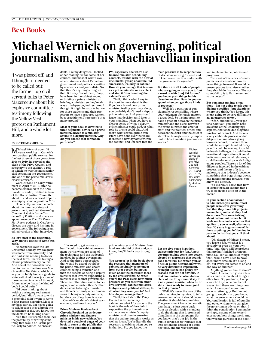# **Michael Wernick on governing, political journalism, and his Machiavellian inspiration**

'I was pissed off, and I thought it needed to be called out:' the former top civil servant talks to Peter Mazereeuw about his explosive committee testimony following the Yellow Vest protest on Parliament Hill, and a whole lot more.

#### **BY PETER MAZEREEUW**

Michael Wernick spent 38 years working in Canada's non-partisan public service. For the last three of those years, from 2016 to 2019, he served as the clerk of the Privy Council and secretary to the cabinet, a role in which he was the most senior civil servant in the government, and one of the prime minister's closest advisers.

Wernick took an early retirement in April of 2019, after he become embroiled in the SNC-Lavalin scandal, testified in front of the House Justice Committee about it, and was accused of partisanship by some opposition MPs.

He recently authored a book about the inner workings of government, entitled, *Governing Canada: A Guide to the Tradecraft of Politics*, and made an appearance on *The Hill Times' Hot Room* podcast in October to discuss the book and his time in government. The following is an edited version of that interview.

#### **So let's start at the beginning. Why did you decide to write this book?**

"It happened over the last Christmas holiday, my daughter was home from university, and she had some reading to do for the next term. She was taking a classic political theory course. And one of the books that she had to read at the time was Machiavelli's *The Prince*, which is, as you probably know, a guide to statecraft. And it was just one of those moments where I thought, 'Hmm, maybe that's the kind of book I could write.'

"I'd been thinking about writing during my retirement period, but I didn't want to write a memoir. I didn't want to write a first-person narrative. Most of my best stories, I'm never going to tell, because they'd break the confidence of the, you know, the incidents I'd be talking about.

"But this just seemed to unlock the possibility of writing something that would be useful, particularly to political science students, like my daughter. I looked at her reading list for some of her courses, and most of what's available to students about Canadian government and politics is written by academics and journalists. Not that there's anything wrong with that. But very few of them, if any, have been in the cabinet room, or briefing a prime minister, or briefing a minister, so they're always third-person, indirect. And I thought it might be a contribution for those students and their professors to have a resource written by a practitioner. There aren't that many around."

**Most of your book is devoted to three segments: advice to a prime minister, advice to a minister, advice to a deputy minister. Why did you choose that format, in particular?**

**PM, especially one who's also finance minister: scheduling conflicts, trouble with the flow of documents, gossip about the PM succession, jealousy in cabinet. How do you manage that tension as a prime minister or as a clerk, and stop it from derailing the cabinet's work?**

"Well, I think what I say in the book in more detail is that if you're a brand new prime minister, feeling your way along, you probably don't need a deputy prime minister. And you should leave that decision until later in your mandate, when you have a clearer sense of what a deputy prime minister could add, or what role he or she could play. And that's what several prime ministers have done over the years. It creates a new dynamic within the cabinet, and I'm sure that the

main pressure is to keep the flow of decisions moving forward and to keep some traction underneath the government's agenda."

**But there are all kinds of people who are going to want you to 'put a word in with [the] PM for me,' you know, push things in this direction or that. How do you respond when you get those kinds of requests?**

"Well, it's a position of considerable responsibility, where your judgment obviously matters a great deal. So it's important to have a good fit between the prime minister and the clerk; between the prime minister, the chief of staff, and the political office; and between the clerk and the chief of staff. That triangle is really important to how Canadian government works.'

> Michael Wernick served as clerk of the Privy Council between 2016 and 2019. *The Hill Times photograph by Andrew Meade*

and implementable policies and programs.

"So most of the work of senior public service is about how to move things forward. It would be presumptuous to advise whether they should do that or not. The accountability is to Parliament and to the voters."

**But you must run into situations—I'm not going to ask you to dig into specifics—but situations where you think, 'You know, this is just going to be very difficult to do, in practical terms'.**

"Yeah, and that's ... your job is to point out, you know, here are some of the [challenging] aspects...that's the due diligence function of cabinet. And there's a very elaborate process of due diligence on initiatives going towards cabinet, of which there would be a couple hundred every year. It could be costing, it could be legal challenges, it could be international implications, it could be federal-provincial relations, it could be relationships with Indigenous peoples. There's a lot of due diligence involved in the cabinet process, and the art of it is to make sure that it doesn't become something that bogs things down, and makes moving forward, you know, too difficult.

"So it's really about that flow of issues through cabinet that I try to open up a little bit in the book."

**In your section about advice to administer, you wrote: 'most people who leave governing feel that they have left projects incomplete, and wish they had done more.' You were talking about cabinet ministers, but it leads me to wonder whether that applies to you as well, after more than 30 years in government? Is there anything you left behind in your to do list that you still think about?**

"Oh, dozens of things, I mean, you leave a job, whether it's abruptly or even on your own time, [and] there will be projects that are half-finished or incomplete. So I left all kinds of things that I would have liked to have spent more time on. It's a long list, but every job comes to an end one way or another."

**Anything you're free to share?** "Well, I mean, I've given interviews and written about things in other fora. So, you know, I keep a watchful eye on a number of issues. And there are things now which I can spend more time on as a retired guy. But I'm not going to weigh in on, you know, what the government should do. Your publication is full of pundits and op-ed writers who can give the government advice on that. I think the contribution I can make, perhaps, is some of my experience about how things work. And that was the purpose of the book."

Continued on page 24



"I wanted to get across as best I could, how cabinet government works: what are some of the techniques and the tradecraft involved in cabinet government. And so the three perspectives that would be useful would be the prime minister, who chairs cabinet; being a minister; and then the aspects of being a deputy minister that involve supporting a minister in a cabinet government. There are other dimensions to being a prime minister, there's other dimensions to being a minister, and there's certainly other dimensions to being a deputy minister, but the core of my book is about ... Canada's model of cabinet government, and how it works."

**Prime Minister Trudeau kept Chrystia Freeland on as deputy prime minister and finance minister in his new cabinet. You devoted a couple of pages of your book to some of the pitfalls that come with appointing a deputy** 

prime minister and Minister Freeland are mindful of that and, you know, they'll find a way through it."

**You wrote a lot in the book about the pressure that members of cabinet inevitably come under from other people, but not as much about the pressures faced by top civil servants. So when you're the PCO clerk, how much pressure do you feel from other civil servants, cabinet ministers, lobbyists, and political staffers, to do what they want you to? And how do you manage that?**

"Well, the clerk of the Privy Council is the secretary to cabinet, so what I focus on in the book is the role of the clerk in supporting the prime minister as the prime minister's deputy minister, and then in ensuring that the cabinet function works as well as it can. You're literally the secretary to cabinet when you're in that job. So, you know, the

**Let me give you a hypothetical scenario just for fun. A new government has come into power, elected on a promise that sounds good to voters, but which you, as a senior public servant, know will be very difficult to implement, or might just be bad policy for reasons that are not obvious. In that circumstance, what does a clerk of the Privy Council say to a new prime minister when he or she arrives ready to make good on that promise?**

"Well, it's never the role of the public service, in my view, to tell a government what it should do, or whether it should do something. The government has a democratic mandate; it's just come back from an election with a mandate to do the things that it promised Canadians in the campaign. So, you know, that's our job in the public service, is to translate that into actionable choices at a cabinet table, and the way forward,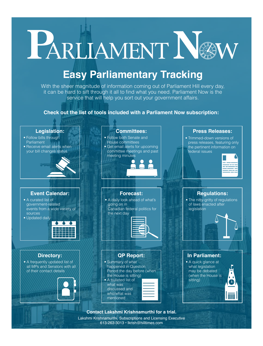# L'ARLIAMENT NO

## **Easy Parliamentary Tracking**

With the sheer magnitude of information coming out of Parliament Hill every day, it can be hard to sift through it all to find what you need. Parliament Now is the service that will help you sort out your government affairs.

### **Check out the list of tools included with a Parliament Now subscription:**